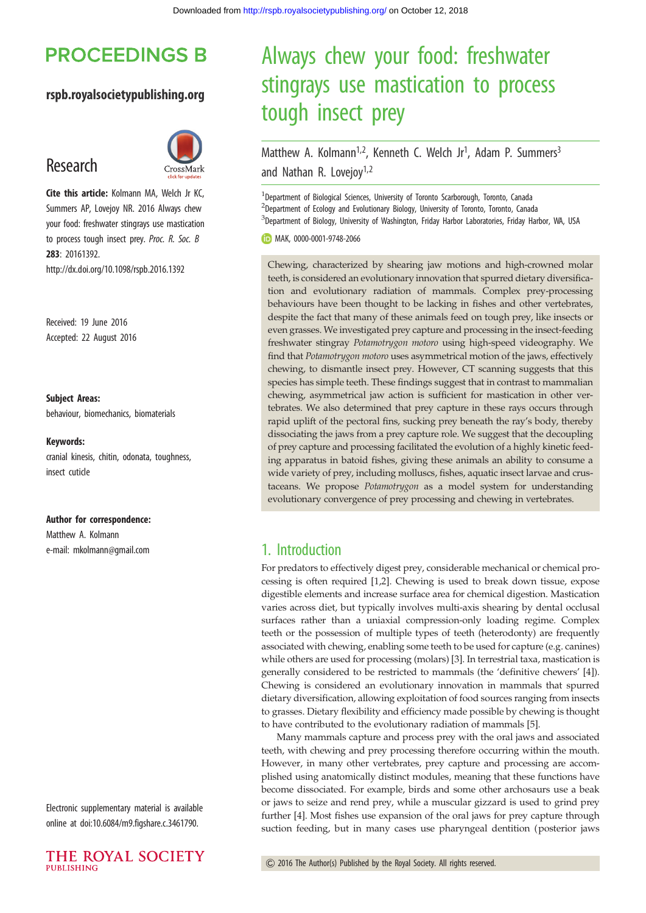## **PROCEEDINGS B**

#### rspb.royalsocietypublishing.org

## Research



Cite this article: Kolmann MA, Welch Jr KC, Summers AP, Lovejoy NR. 2016 Always chew your food: freshwater stingrays use mastication to process tough insect prey. Proc. R. Soc. B 283: 20161392. http://dx.doi.org/10.1098/rspb.2016.1392

Received: 19 June 2016 Accepted: 22 August 2016

#### Subject Areas:

behaviour, biomechanics, biomaterials

#### Keywords:

cranial kinesis, chitin, odonata, toughness, insect cuticle

#### Author for correspondence:

Matthew A. Kolmann e-mail: [mkolmann@gmail.com](mailto:mkolmann@gmail.com)

Electronic supplementary material is available online at [doi:10.6084/m9.figshare.c.3461790](http://dx.doi.org/10.6084/m9.figshare.c.3461790).



# Always chew your food: freshwater stingrays use mastication to process tough insect prey

## Matthew A. Kolmann<sup>1,2</sup>, Kenneth C. Welch Jr<sup>1</sup>, Adam P. Summers<sup>3</sup> and Nathan R. Lovejoy<sup>1,2</sup>

<sup>1</sup>Department of Biological Sciences, University of Toronto Scarborough, Toronto, Canada <sup>2</sup>Department of Ecology and Evolutionary Biology, University of Toronto, Toronto, Canada <sup>3</sup>Department of Biology, University of Washington, Friday Harbor Laboratories, Friday Harbor, WA, USA

MAK, [0000-0001-9748-2066](http://orcid.org/0000-0001-9748-2066)

Chewing, characterized by shearing jaw motions and high-crowned molar teeth, is considered an evolutionary innovation that spurred dietary diversification and evolutionary radiation of mammals. Complex prey-processing behaviours have been thought to be lacking in fishes and other vertebrates, despite the fact that many of these animals feed on tough prey, like insects or even grasses. We investigated prey capture and processing in the insect-feeding freshwater stingray Potamotrygon motoro using high-speed videography. We find that Potamotrygon motoro uses asymmetrical motion of the jaws, effectively chewing, to dismantle insect prey. However, CT scanning suggests that this species has simple teeth. These findings suggest that in contrast to mammalian chewing, asymmetrical jaw action is sufficient for mastication in other vertebrates. We also determined that prey capture in these rays occurs through rapid uplift of the pectoral fins, sucking prey beneath the ray's body, thereby dissociating the jaws from a prey capture role. We suggest that the decoupling of prey capture and processing facilitated the evolution of a highly kinetic feeding apparatus in batoid fishes, giving these animals an ability to consume a wide variety of prey, including molluscs, fishes, aquatic insect larvae and crustaceans. We propose Potamotrygon as a model system for understanding evolutionary convergence of prey processing and chewing in vertebrates.

## 1. Introduction

For predators to effectively digest prey, considerable mechanical or chemical processing is often required [[1](#page-7-0),[2](#page-7-0)]. Chewing is used to break down tissue, expose digestible elements and increase surface area for chemical digestion. Mastication varies across diet, but typically involves multi-axis shearing by dental occlusal surfaces rather than a uniaxial compression-only loading regime. Complex teeth or the possession of multiple types of teeth (heterodonty) are frequently associated with chewing, enabling some teeth to be used for capture (e.g. canines) while others are used for processing (molars) [[3](#page-7-0)]. In terrestrial taxa, mastication is generally considered to be restricted to mammals (the 'definitive chewers' [\[4\]](#page-7-0)). Chewing is considered an evolutionary innovation in mammals that spurred dietary diversification, allowing exploitation of food sources ranging from insects to grasses. Dietary flexibility and efficiency made possible by chewing is thought to have contributed to the evolutionary radiation of mammals [[5](#page-7-0)].

Many mammals capture and process prey with the oral jaws and associated teeth, with chewing and prey processing therefore occurring within the mouth. However, in many other vertebrates, prey capture and processing are accomplished using anatomically distinct modules, meaning that these functions have become dissociated. For example, birds and some other archosaurs use a beak or jaws to seize and rend prey, while a muscular gizzard is used to grind prey further [[4](#page-7-0)]. Most fishes use expansion of the oral jaws for prey capture through suction feeding, but in many cases use pharyngeal dentition (posterior jaws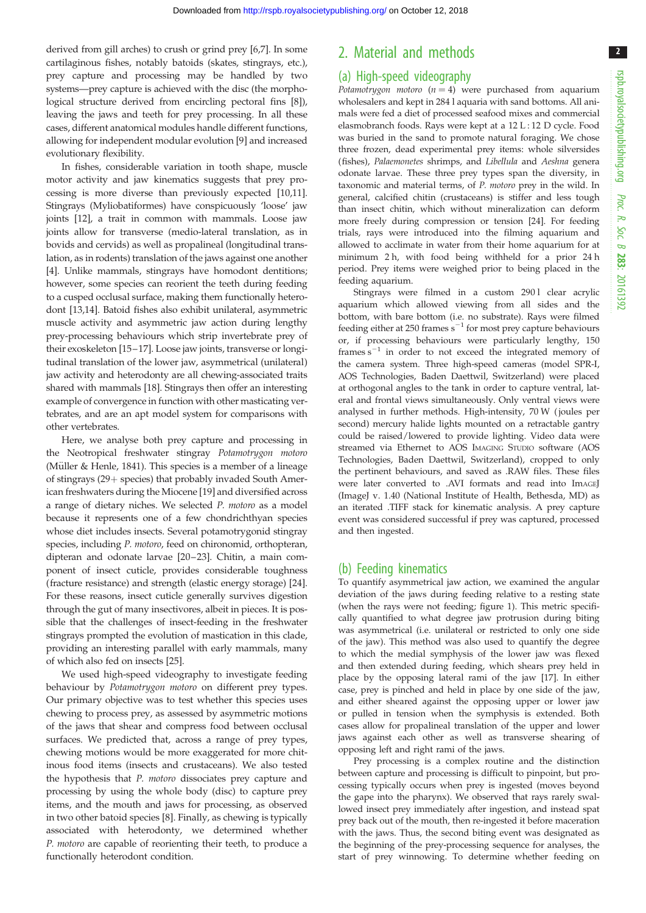derived from gill arches) to crush or grind prey [\[6,7\]](#page-7-0). In some cartilaginous fishes, notably batoids (skates, stingrays, etc.), prey capture and processing may be handled by two systems—prey capture is achieved with the disc (the morphological structure derived from encircling pectoral fins [\[8](#page-7-0)]), leaving the jaws and teeth for prey processing. In all these cases, different anatomical modules handle different functions, allowing for independent modular evolution [\[9\]](#page-7-0) and increased evolutionary flexibility.

In fishes, considerable variation in tooth shape, muscle motor activity and jaw kinematics suggests that prey processing is more diverse than previously expected [\[10,11](#page-7-0)]. Stingrays (Myliobatiformes) have conspicuously 'loose' jaw joints [\[12](#page-7-0)], a trait in common with mammals. Loose jaw joints allow for transverse (medio-lateral translation, as in bovids and cervids) as well as propalineal (longitudinal translation, as in rodents) translation of the jaws against one another [\[4\]](#page-7-0). Unlike mammals, stingrays have homodont dentitions; however, some species can reorient the teeth during feeding to a cusped occlusal surface, making them functionally heterodont [\[13,14](#page-7-0)]. Batoid fishes also exhibit unilateral, asymmetric muscle activity and asymmetric jaw action during lengthy prey-processing behaviours which strip invertebrate prey of their exoskeleton [\[15](#page-7-0)–[17\]](#page-7-0). Loose jaw joints, transverse or longitudinal translation of the lower jaw, asymmetrical (unilateral) jaw activity and heterodonty are all chewing-associated traits shared with mammals [\[18](#page-7-0)]. Stingrays then offer an interesting example of convergence in function with other masticating vertebrates, and are an apt model system for comparisons with other vertebrates.

Here, we analyse both prey capture and processing in the Neotropical freshwater stingray Potamotrygon motoro (Müller & Henle, 1841). This species is a member of a lineage of stingrays (29+ species) that probably invaded South American freshwaters during the Miocene [[19](#page-7-0)] and diversified across a range of dietary niches. We selected P. motoro as a model because it represents one of a few chondrichthyan species whose diet includes insects. Several potamotrygonid stingray species, including P. motoro, feed on chironomid, orthopteran, dipteran and odonate larvae [\[20](#page-7-0)–[23](#page-7-0)]. Chitin, a main component of insect cuticle, provides considerable toughness (fracture resistance) and strength (elastic energy storage) [\[24](#page-7-0)]. For these reasons, insect cuticle generally survives digestion through the gut of many insectivores, albeit in pieces. It is possible that the challenges of insect-feeding in the freshwater stingrays prompted the evolution of mastication in this clade, providing an interesting parallel with early mammals, many of which also fed on insects [[25\]](#page-7-0).

We used high-speed videography to investigate feeding behaviour by Potamotrygon motoro on different prey types. Our primary objective was to test whether this species uses chewing to process prey, as assessed by asymmetric motions of the jaws that shear and compress food between occlusal surfaces. We predicted that, across a range of prey types, chewing motions would be more exaggerated for more chitinous food items (insects and crustaceans). We also tested the hypothesis that P. motoro dissociates prey capture and processing by using the whole body (disc) to capture prey items, and the mouth and jaws for processing, as observed in two other batoid species [\[8\]](#page-7-0). Finally, as chewing is typically associated with heterodonty, we determined whether P. motoro are capable of reorienting their teeth, to produce a functionally heterodont condition.

## 2. Material and methods

#### (a) High-speed videography

Potamotrygon motoro  $(n = 4)$  were purchased from aquarium wholesalers and kept in 284 l aquaria with sand bottoms. All animals were fed a diet of processed seafood mixes and commercial elasmobranch foods. Rays were kept at a 12 L : 12 D cycle. Food was buried in the sand to promote natural foraging. We chose three frozen, dead experimental prey items: whole silversides (fishes), Palaemonetes shrimps, and Libellula and Aeshna genera odonate larvae. These three prey types span the diversity, in taxonomic and material terms, of P. motoro prey in the wild. In general, calcified chitin (crustaceans) is stiffer and less tough than insect chitin, which without mineralization can deform more freely during compression or tension [[24](#page-7-0)]. For feeding trials, rays were introduced into the filming aquarium and allowed to acclimate in water from their home aquarium for at minimum 2 h, with food being withheld for a prior 24 h period. Prey items were weighed prior to being placed in the feeding aquarium.

Stingrays were filmed in a custom 2901 clear acrylic aquarium which allowed viewing from all sides and the bottom, with bare bottom (i.e. no substrate). Rays were filmed feeding either at 250 frames  $s^{-1}$  for most prey capture behaviours or, if processing behaviours were particularly lengthy, 150 frames  $s^{-1}$  in order to not exceed the integrated memory of the camera system. Three high-speed cameras (model SPR-I, AOS Technologies, Baden Daettwil, Switzerland) were placed at orthogonal angles to the tank in order to capture ventral, lateral and frontal views simultaneously. Only ventral views were analysed in further methods. High-intensity, 70 W ( joules per second) mercury halide lights mounted on a retractable gantry could be raised/lowered to provide lighting. Video data were streamed via Ethernet to AOS IMAGING STUDIO software (AOS Technologies, Baden Daettwil, Switzerland), cropped to only the pertinent behaviours, and saved as .RAW files. These files were later converted to .AVI formats and read into ImAGEJ (ImageJ v. 1.40 (National Institute of Health, Bethesda, MD) as an iterated .TIFF stack for kinematic analysis. A prey capture event was considered successful if prey was captured, processed and then ingested.

#### (b) Feeding kinematics

To quantify asymmetrical jaw action, we examined the angular deviation of the jaws during feeding relative to a resting state (when the rays were not feeding; [figure 1\)](#page-2-0). This metric specifically quantified to what degree jaw protrusion during biting was asymmetrical (i.e. unilateral or restricted to only one side of the jaw). This method was also used to quantify the degree to which the medial symphysis of the lower jaw was flexed and then extended during feeding, which shears prey held in place by the opposing lateral rami of the jaw [[17](#page-7-0)]. In either case, prey is pinched and held in place by one side of the jaw, and either sheared against the opposing upper or lower jaw or pulled in tension when the symphysis is extended. Both cases allow for propalineal translation of the upper and lower jaws against each other as well as transverse shearing of opposing left and right rami of the jaws.

Prey processing is a complex routine and the distinction between capture and processing is difficult to pinpoint, but processing typically occurs when prey is ingested (moves beyond the gape into the pharynx). We observed that rays rarely swallowed insect prey immediately after ingestion, and instead spat prey back out of the mouth, then re-ingested it before maceration with the jaws. Thus, the second biting event was designated as the beginning of the prey-processing sequence for analyses, the start of prey winnowing. To determine whether feeding on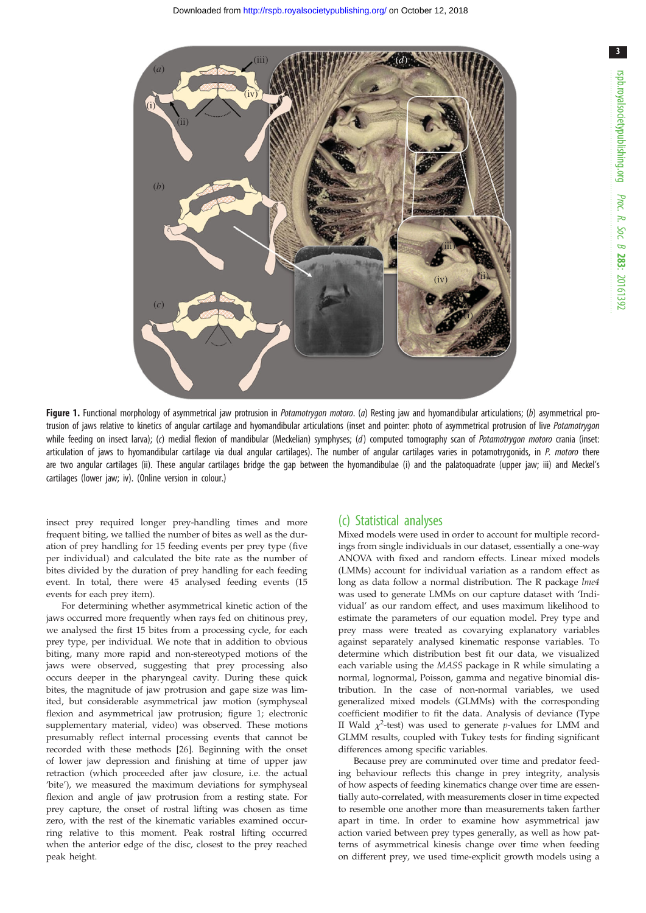<span id="page-2-0"></span>

Figure 1. Functional morphology of asymmetrical jaw protrusion in Potamotrygon motoro. (a) Resting jaw and hyomandibular articulations; (b) asymmetrical protrusion of jaws relative to kinetics of angular cartilage and hyomandibular articulations (inset and pointer: photo of asymmetrical protrusion of live Potamotrygon while feeding on insect larva); (c) medial flexion of mandibular (Meckelian) symphyses; (d) computed tomography scan of Potamotrygon motoro crania (inset: articulation of jaws to hyomandibular cartilage via dual angular cartilages). The number of angular cartilages varies in potamotrygonids, in P. motoro there are two angular cartilages (ii). These angular cartilages bridge the gap between the hyomandibulae (i) and the palatoquadrate (upper jaw; iii) and Meckel's cartilages (lower jaw; iv). (Online version in colour.)

insect prey required longer prey-handling times and more frequent biting, we tallied the number of bites as well as the duration of prey handling for 15 feeding events per prey type (five per individual) and calculated the bite rate as the number of bites divided by the duration of prey handling for each feeding event. In total, there were 45 analysed feeding events (15 events for each prey item).

For determining whether asymmetrical kinetic action of the jaws occurred more frequently when rays fed on chitinous prey, we analysed the first 15 bites from a processing cycle, for each prey type, per individual. We note that in addition to obvious biting, many more rapid and non-stereotyped motions of the jaws were observed, suggesting that prey processing also occurs deeper in the pharyngeal cavity. During these quick bites, the magnitude of jaw protrusion and gape size was limited, but considerable asymmetrical jaw motion (symphyseal flexion and asymmetrical jaw protrusion; figure 1; electronic supplementary material, video) was observed. These motions presumably reflect internal processing events that cannot be recorded with these methods [\[26\]](#page-7-0). Beginning with the onset of lower jaw depression and finishing at time of upper jaw retraction (which proceeded after jaw closure, i.e. the actual 'bite'), we measured the maximum deviations for symphyseal flexion and angle of jaw protrusion from a resting state. For prey capture, the onset of rostral lifting was chosen as time zero, with the rest of the kinematic variables examined occurring relative to this moment. Peak rostral lifting occurred when the anterior edge of the disc, closest to the prey reached peak height.

#### (c) Statistical analyses

Mixed models were used in order to account for multiple recordings from single individuals in our dataset, essentially a one-way ANOVA with fixed and random effects. Linear mixed models (LMMs) account for individual variation as a random effect as long as data follow a normal distribution. The R package lme4 was used to generate LMMs on our capture dataset with 'Individual' as our random effect, and uses maximum likelihood to estimate the parameters of our equation model. Prey type and prey mass were treated as covarying explanatory variables against separately analysed kinematic response variables. To determine which distribution best fit our data, we visualized each variable using the MASS package in R while simulating a normal, lognormal, Poisson, gamma and negative binomial distribution. In the case of non-normal variables, we used generalized mixed models (GLMMs) with the corresponding coefficient modifier to fit the data. Analysis of deviance (Type II Wald  $\chi^2$ -test) was used to generate p-values for LMM and GLMM results, coupled with Tukey tests for finding significant differences among specific variables.

Because prey are comminuted over time and predator feeding behaviour reflects this change in prey integrity, analysis of how aspects of feeding kinematics change over time are essentially auto-correlated, with measurements closer in time expected to resemble one another more than measurements taken farther apart in time. In order to examine how asymmetrical jaw action varied between prey types generally, as well as how patterns of asymmetrical kinesis change over time when feeding on different prey, we used time-explicit growth models using a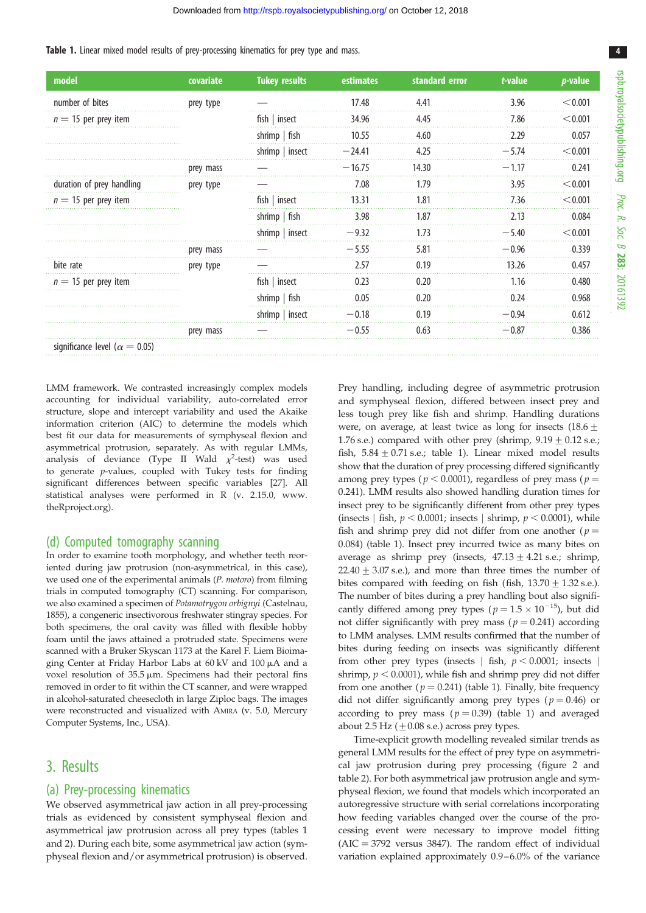Table 1. Linear mixed model results of prey-processing kinematics for prey type and mass.

| model                                  | covariate | <b>Tukey results</b> | estimates | standard error | t-value | <i>p</i> -value |
|----------------------------------------|-----------|----------------------|-----------|----------------|---------|-----------------|
| number of bites                        | prey type |                      | 17.48     | 4.41           | 3.96    | < 0.001         |
| $n = 15$ per prey item                 |           | $fish$   insect      | 34.96     | 4.45           | 7.86    | < 0.001         |
|                                        |           | shrimp $ $ fish      | 10.55     | 4.60           | 2.29    | 0.057           |
|                                        |           | shrimp   insect      | $-24.41$  | 4.25           | $-5.74$ | < 0.001         |
|                                        | prey mass |                      | $-16.75$  | 14.30          | $-1.17$ | 0.241           |
| duration of prey handling              | prey type |                      | 7.08      | 1.79           | 3.95    | < 0.001         |
| $n = 15$ per prey item                 |           | $fish$   insect      | 13.31     | 1.81           | 7.36    | < 0.001         |
|                                        |           | shrimp $ $ fish      | 3.98      | 1.87           | 2.13    | 0.084           |
|                                        |           | shrimp   insect      | $-9.32$   | 1.73           | $-5.40$ | < 0.001         |
|                                        | prey mass |                      | $-5.55$   | 5.81           | $-0.96$ | 0.339           |
| bite rate                              | prey type |                      | 2.57      | 0.19           | 13.26   | 0.457           |
| $n = 15$ per prey item                 |           | fish $ $ insect      | 0.23      | 0.20           | 1.16    | 0.480           |
|                                        |           | shrimp $ $ fish      | 0.05      | 0.20           | 0.24    | 0.968           |
|                                        |           | shrimp   insect      | $-0.18$   | 0.19           | $-0.94$ | 0.612           |
|                                        | prey mass |                      | $-0.55$   | 0.63           | $-0.87$ | 0.386           |
| significance level ( $\alpha = 0.05$ ) |           |                      |           |                |         |                 |

LMM framework. We contrasted increasingly complex models accounting for individual variability, auto-correlated error structure, slope and intercept variability and used the Akaike information criterion (AIC) to determine the models which best fit our data for measurements of symphyseal flexion and asymmetrical protrusion, separately. As with regular LMMs, analysis of deviance (Type II Wald  $\chi^2$ -test) was used to generate p-values, coupled with Tukey tests for finding significant differences between specific variables [[27](#page-7-0)]. All statistical analyses were performed in R (v. 2.15.0, [www.](http://www.theRproject.org) [theRproject.org\)](http://www.theRproject.org).

#### (d) Computed tomography scanning

In order to examine tooth morphology, and whether teeth reoriented during jaw protrusion (non-asymmetrical, in this case), we used one of the experimental animals (P. motoro) from filming trials in computed tomography (CT) scanning. For comparison, we also examined a specimen of Potamotrygon orbignyi (Castelnau, 1855), a congeneric insectivorous freshwater stingray species. For both specimens, the oral cavity was filled with flexible hobby foam until the jaws attained a protruded state. Specimens were scanned with a Bruker Skyscan 1173 at the Karel F. Liem Bioimaging Center at Friday Harbor Labs at  $60 \text{ kV}$  and  $100 \mu\text{A}$  and a voxel resolution of  $35.5 \mu m$ . Specimens had their pectoral fins removed in order to fit within the CT scanner, and were wrapped in alcohol-saturated cheesecloth in large Ziploc bags. The images were reconstructed and visualized with AMIRA (v. 5.0, Mercury Computer Systems, Inc., USA).

## 3. Results

#### (a) Prey-processing kinematics

We observed asymmetrical jaw action in all prey-processing trials as evidenced by consistent symphyseal flexion and asymmetrical jaw protrusion across all prey types (tables 1 and [2](#page-4-0)). During each bite, some asymmetrical jaw action (symphyseal flexion and/or asymmetrical protrusion) is observed. Prey handling, including degree of asymmetric protrusion and symphyseal flexion, differed between insect prey and less tough prey like fish and shrimp. Handling durations were, on average, at least twice as long for insects  $(18.6 +$ 1.76 s.e.) compared with other prey (shrimp,  $9.19 \pm 0.12$  s.e.; fish,  $5.84 + 0.71$  s.e.; table 1). Linear mixed model results show that the duration of prey processing differed significantly among prey types ( $p < 0.0001$ ), regardless of prey mass ( $p =$ 0.241). LMM results also showed handling duration times for insect prey to be significantly different from other prey types (insects | fish,  $p < 0.0001$ ; insects | shrimp,  $p < 0.0001$ ), while fish and shrimp prey did not differ from one another ( $p =$ 0.084) (table 1). Insect prey incurred twice as many bites on average as shrimp prey (insects,  $47.13 + 4.21$  s.e.; shrimp,  $22.40 + 3.07$  s.e.), and more than three times the number of bites compared with feeding on fish (fish,  $13.70 \pm 1.32$  s.e.). The number of bites during a prey handling bout also significantly differed among prey types ( $p = 1.5 \times 10^{-15}$ ), but did not differ significantly with prey mass ( $p = 0.241$ ) according to LMM analyses. LMM results confirmed that the number of bites during feeding on insects was significantly different from other prey types (insects | fish,  $p < 0.0001$ ; insects | shrimp,  $p < 0.0001$ ), while fish and shrimp prey did not differ from one another ( $p = 0.241$ ) (table 1). Finally, bite frequency did not differ significantly among prey types ( $p = 0.46$ ) or according to prey mass ( $p = 0.39$ ) (table 1) and averaged about 2.5 Hz ( $+0.08$  s.e.) across prey types.

Time-explicit growth modelling revealed similar trends as general LMM results for the effect of prey type on asymmetrical jaw protrusion during prey processing ([figure 2](#page-4-0) and [table 2](#page-4-0)). For both asymmetrical jaw protrusion angle and symphyseal flexion, we found that models which incorporated an autoregressive structure with serial correlations incorporating how feeding variables changed over the course of the processing event were necessary to improve model fitting  $(AIC = 3792$  versus 3847). The random effect of individual variation explained approximately 0.9–6.0% of the variance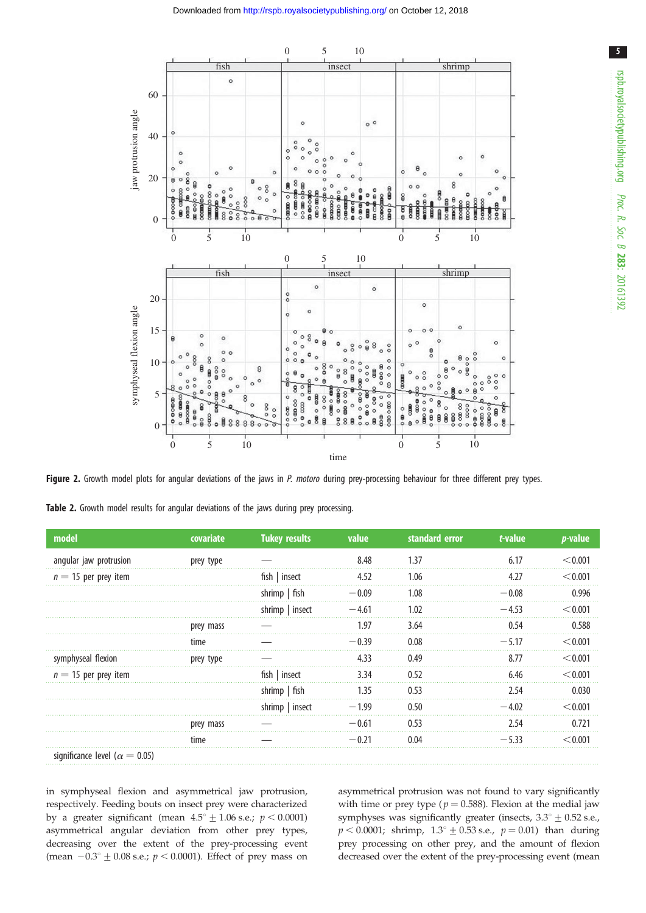<span id="page-4-0"></span>

Figure 2. Growth model plots for angular deviations of the jaws in P. motoro during prey-processing behaviour for three different prey types.

|  |  |  |  |  |  | Table 2. Growth model results for angular deviations of the jaws during prey processing. |
|--|--|--|--|--|--|------------------------------------------------------------------------------------------|
|  |  |  |  |  |  |                                                                                          |

| model                                  | covariate | <b>Tukey results</b> | value   | standard error | t-value | <i>p</i> -value |
|----------------------------------------|-----------|----------------------|---------|----------------|---------|-----------------|
| angular jaw protrusion                 | prey type |                      | 8.48    | 1.37           | 6.17    | < 0.001         |
| $n = 15$ per prey item                 |           | $fish$   insect      | 4.52    | 1.06           | 4.27    | < 0.001         |
|                                        |           | shrimp   fish        | $-0.09$ | 1.08           | $-0.08$ | 0.996           |
|                                        |           | shrimp   insect      | $-4.61$ | 1.02           | $-4.53$ | < 0.001         |
|                                        | prey mass |                      | 1.97    | 3.64           | 0.54    | 0.588           |
|                                        | time      |                      | $-0.39$ | 0.08           | $-5.17$ | < 0.001         |
| symphyseal flexion                     | prey type |                      | 4.33    | 0.49           | 8.77    | < 0.001         |
| $n = 15$ per prey item                 |           | fish $ $ insect      | 3.34    | 0.52           | 6.46    | < 0.001         |
|                                        |           | shrimp   fish        | 1.35    | 0.53           | 2.54    | 0.030           |
|                                        |           | shrimp   insect      | $-1.99$ | 0.50           | $-4.02$ | < 0.001         |
|                                        | prey mass |                      | $-0.61$ | 0.53           | 2.54    | 0.721           |
|                                        | time      |                      | $-0.21$ | 0.04           | $-5.33$ | $<$ 0.00        |
| significance level ( $\alpha = 0.05$ ) |           |                      |         |                |         |                 |

in symphyseal flexion and asymmetrical jaw protrusion, respectively. Feeding bouts on insect prey were characterized by a greater significant (mean  $4.5^{\circ} \pm 1.06$  s.e.;  $p < 0.0001$ ) asymmetrical angular deviation from other prey types, decreasing over the extent of the prey-processing event (mean  $-0.3^{\circ} \pm 0.08$  s.e.;  $p < 0.0001$ ). Effect of prey mass on asymmetrical protrusion was not found to vary significantly with time or prey type ( $p = 0.588$ ). Flexion at the medial jaw symphyses was significantly greater (insects,  $3.3^{\circ} \pm 0.52$  s.e.,  $p < 0.0001$ ; shrimp,  $1.3^{\circ} \pm 0.53$  s.e.,  $p = 0.01$ ) than during prey processing on other prey, and the amount of flexion decreased over the extent of the prey-processing event (mean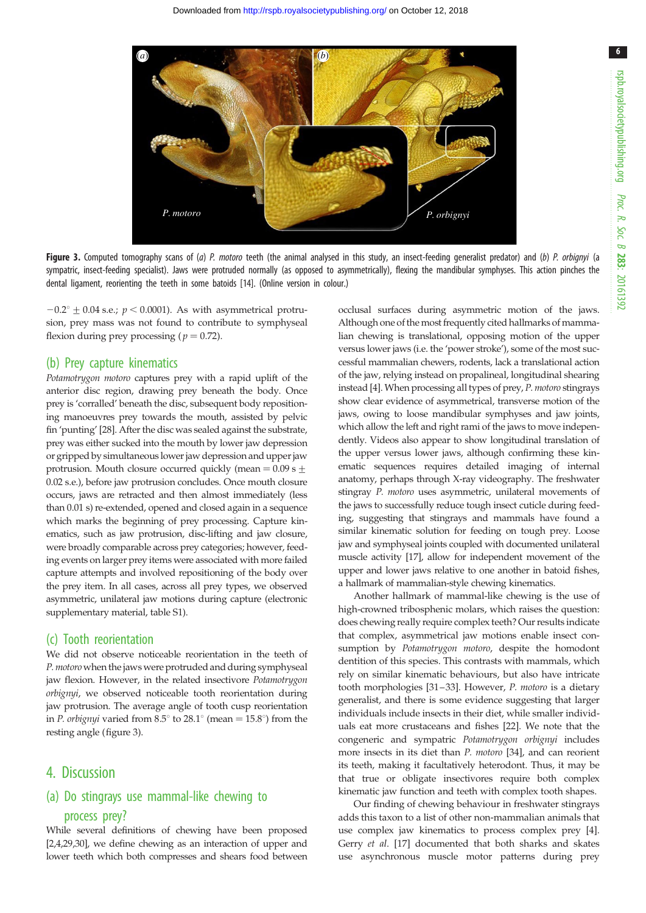6



Figure 3. Computed tomography scans of (a) P. motoro teeth (the animal analysed in this study, an insect-feeding generalist predator) and (b) P. orbignyi (a sympatric, insect-feeding specialist). Jaws were protruded normally (as opposed to asymmetrically), flexing the mandibular symphyses. This action pinches the dental ligament, reorienting the teeth in some batoids [[14](#page-7-0)]. (Online version in colour.)

 $-0.2^{\circ} \pm 0.04$  s.e.;  $p < 0.0001$ ). As with asymmetrical protrusion, prey mass was not found to contribute to symphyseal flexion during prey processing ( $p = 0.72$ ).

#### (b) Prey capture kinematics

Potamotrygon motoro captures prey with a rapid uplift of the anterior disc region, drawing prey beneath the body. Once prey is 'corralled' beneath the disc, subsequent body repositioning manoeuvres prey towards the mouth, assisted by pelvic fin 'punting' [\[28\]](#page-7-0). After the disc was sealed against the substrate, prey was either sucked into the mouth by lower jaw depression or gripped by simultaneous lower jaw depression and upper jaw protrusion. Mouth closure occurred quickly (mean =  $0.09 s +$ 0.02 s.e.), before jaw protrusion concludes. Once mouth closure occurs, jaws are retracted and then almost immediately (less than 0.01 s) re-extended, opened and closed again in a sequence which marks the beginning of prey processing. Capture kinematics, such as jaw protrusion, disc-lifting and jaw closure, were broadly comparable across prey categories; however, feeding events on larger prey items were associated with more failed capture attempts and involved repositioning of the body over the prey item. In all cases, across all prey types, we observed asymmetric, unilateral jaw motions during capture (electronic supplementary material, table S1).

#### (c) Tooth reorientation

We did not observe noticeable reorientation in the teeth of P. motoro when the jaws were protruded and during symphyseal jaw flexion. However, in the related insectivore Potamotrygon orbignyi, we observed noticeable tooth reorientation during jaw protrusion. The average angle of tooth cusp reorientation in *P. orbignyi* varied from  $8.5^{\circ}$  to  $28.1^{\circ}$  (mean =  $15.8^{\circ}$ ) from the resting angle (figure 3).

### 4. Discussion

## (a) Do stingrays use mammal-like chewing to

#### process prey?

While several definitions of chewing have been proposed [\[2,4,29,30\]](#page-7-0), we define chewing as an interaction of upper and lower teeth which both compresses and shears food between occlusal surfaces during asymmetric motion of the jaws. Although one of the most frequently cited hallmarks of mammalian chewing is translational, opposing motion of the upper versus lower jaws (i.e. the 'power stroke'), some of the most successful mammalian chewers, rodents, lack a translational action of the jaw, relying instead on propalineal, longitudinal shearing instead [[4\]](#page-7-0). When processing all types of prey, P. motoro stingrays show clear evidence of asymmetrical, transverse motion of the jaws, owing to loose mandibular symphyses and jaw joints, which allow the left and right rami of the jaws to move independently. Videos also appear to show longitudinal translation of the upper versus lower jaws, although confirming these kinematic sequences requires detailed imaging of internal anatomy, perhaps through X-ray videography. The freshwater stingray P. motoro uses asymmetric, unilateral movements of the jaws to successfully reduce tough insect cuticle during feeding, suggesting that stingrays and mammals have found a similar kinematic solution for feeding on tough prey. Loose jaw and symphyseal joints coupled with documented unilateral muscle activity [[17\]](#page-7-0), allow for independent movement of the upper and lower jaws relative to one another in batoid fishes, a hallmark of mammalian-style chewing kinematics.

Another hallmark of mammal-like chewing is the use of high-crowned tribosphenic molars, which raises the question: does chewing really require complex teeth? Our results indicate that complex, asymmetrical jaw motions enable insect consumption by Potamotrygon motoro, despite the homodont dentition of this species. This contrasts with mammals, which rely on similar kinematic behaviours, but also have intricate tooth morphologies [[31](#page-7-0)–[33\]](#page-7-0). However, P. motoro is a dietary generalist, and there is some evidence suggesting that larger individuals include insects in their diet, while smaller individuals eat more crustaceans and fishes [\[22](#page-7-0)]. We note that the congeneric and sympatric Potamotrygon orbignyi includes more insects in its diet than P. motoro [[34](#page-7-0)], and can reorient its teeth, making it facultatively heterodont. Thus, it may be that true or obligate insectivores require both complex kinematic jaw function and teeth with complex tooth shapes.

Our finding of chewing behaviour in freshwater stingrays adds this taxon to a list of other non-mammalian animals that use complex jaw kinematics to process complex prey [\[4\]](#page-7-0). Gerry et al. [\[17](#page-7-0)] documented that both sharks and skates use asynchronous muscle motor patterns during prey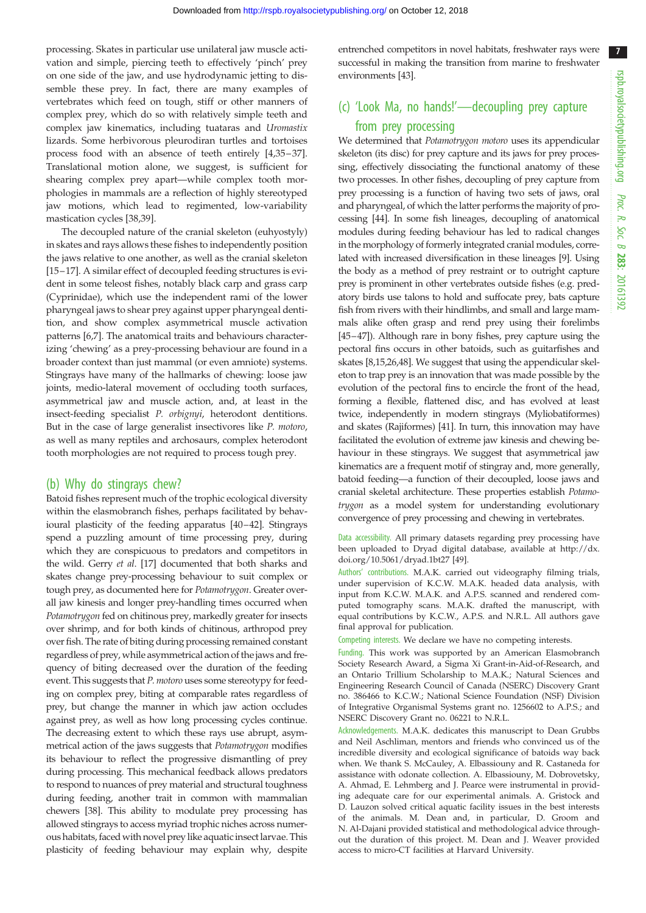7

processing. Skates in particular use unilateral jaw muscle activation and simple, piercing teeth to effectively 'pinch' prey on one side of the jaw, and use hydrodynamic jetting to dissemble these prey. In fact, there are many examples of vertebrates which feed on tough, stiff or other manners of complex prey, which do so with relatively simple teeth and complex jaw kinematics, including tuataras and Uromastix lizards. Some herbivorous pleurodiran turtles and tortoises process food with an absence of teeth entirely [\[4,35](#page-7-0)–[37](#page-7-0)]. Translational motion alone, we suggest, is sufficient for shearing complex prey apart—while complex tooth morphologies in mammals are a reflection of highly stereotyped jaw motions, which lead to regimented, low-variability mastication cycles [[38,39\]](#page-7-0).

The decoupled nature of the cranial skeleton (euhyostyly) in skates and rays allows these fishes to independently position the jaws relative to one another, as well as the cranial skeleton [\[15](#page-7-0)–[17](#page-7-0)]. A similar effect of decoupled feeding structures is evident in some teleost fishes, notably black carp and grass carp (Cyprinidae), which use the independent rami of the lower pharyngeal jaws to shear prey against upper pharyngeal dentition, and show complex asymmetrical muscle activation patterns [\[6,7\]](#page-7-0). The anatomical traits and behaviours characterizing 'chewing' as a prey-processing behaviour are found in a broader context than just mammal (or even amniote) systems. Stingrays have many of the hallmarks of chewing: loose jaw joints, medio-lateral movement of occluding tooth surfaces, asymmetrical jaw and muscle action, and, at least in the insect-feeding specialist P. orbignyi, heterodont dentitions. But in the case of large generalist insectivores like P. motoro, as well as many reptiles and archosaurs, complex heterodont tooth morphologies are not required to process tough prey.

#### (b) Why do stingrays chew?

Batoid fishes represent much of the trophic ecological diversity within the elasmobranch fishes, perhaps facilitated by behavioural plasticity of the feeding apparatus [\[40](#page-7-0)–[42\]](#page-7-0). Stingrays spend a puzzling amount of time processing prey, during which they are conspicuous to predators and competitors in the wild. Gerry et al. [[17](#page-7-0)] documented that both sharks and skates change prey-processing behaviour to suit complex or tough prey, as documented here for Potamotrygon. Greater overall jaw kinesis and longer prey-handling times occurred when Potamotrygon fed on chitinous prey, markedly greater for insects over shrimp, and for both kinds of chitinous, arthropod prey over fish. The rate of biting during processing remained constant regardless of prey, while asymmetrical action of the jaws and frequency of biting decreased over the duration of the feeding event. This suggests that P. motoro uses some stereotypy for feeding on complex prey, biting at comparable rates regardless of prey, but change the manner in which jaw action occludes against prey, as well as how long processing cycles continue. The decreasing extent to which these rays use abrupt, asymmetrical action of the jaws suggests that Potamotrygon modifies its behaviour to reflect the progressive dismantling of prey during processing. This mechanical feedback allows predators to respond to nuances of prey material and structural toughness during feeding, another trait in common with mammalian chewers [\[38\]](#page-7-0). This ability to modulate prey processing has allowed stingrays to access myriad trophic niches across numerous habitats, faced with novel prey like aquaticinsect larvae. This plasticity of feeding behaviour may explain why, despite entrenched competitors in novel habitats, freshwater rays were successful in making the transition from marine to freshwater environments [[43](#page-8-0)].

## (c) 'Look Ma, no hands!'—decoupling prey capture from prey processing

We determined that Potamotrygon motoro uses its appendicular skeleton (its disc) for prey capture and its jaws for prey processing, effectively dissociating the functional anatomy of these two processes. In other fishes, decoupling of prey capture from prey processing is a function of having two sets of jaws, oral and pharyngeal, of which the latter performs the majority of processing [[44](#page-8-0)]. In some fish lineages, decoupling of anatomical modules during feeding behaviour has led to radical changes in the morphology of formerly integrated cranial modules, correlated with increased diversification in these lineages [\[9](#page-7-0)]. Using the body as a method of prey restraint or to outright capture prey is prominent in other vertebrates outside fishes (e.g. predatory birds use talons to hold and suffocate prey, bats capture fish from rivers with their hindlimbs, and small and large mammals alike often grasp and rend prey using their forelimbs [[45](#page-8-0)–[47](#page-8-0)]). Although rare in bony fishes, prey capture using the pectoral fins occurs in other batoids, such as guitarfishes and skates [[8,15,26](#page-7-0),[48](#page-8-0)]. We suggest that using the appendicular skeleton to trap prey is an innovation that was made possible by the evolution of the pectoral fins to encircle the front of the head, forming a flexible, flattened disc, and has evolved at least twice, independently in modern stingrays (Myliobatiformes) and skates (Rajiformes) [[41](#page-7-0)]. In turn, this innovation may have facilitated the evolution of extreme jaw kinesis and chewing behaviour in these stingrays. We suggest that asymmetrical jaw kinematics are a frequent motif of stingray and, more generally, batoid feeding—a function of their decoupled, loose jaws and cranial skeletal architecture. These properties establish Potamotrygon as a model system for understanding evolutionary convergence of prey processing and chewing in vertebrates.

Data accessibility. All primary datasets regarding prey processing have been uploaded to Dryad digital database, available at [http://dx.](http://dx.doi.org/10.5061/dryad.1bt27) [doi.org/10.5061/dryad.1bt27](http://dx.doi.org/10.5061/dryad.1bt27) [[49\]](#page-8-0).

Authors' contributions. M.A.K. carried out videography filming trials, under supervision of K.C.W. M.A.K. headed data analysis, with input from K.C.W. M.A.K. and A.P.S. scanned and rendered computed tomography scans. M.A.K. drafted the manuscript, with equal contributions by K.C.W., A.P.S. and N.R.L. All authors gave final approval for publication.

Competing interests. We declare we have no competing interests.

Funding. This work was supported by an American Elasmobranch Society Research Award, a Sigma Xi Grant-in-Aid-of-Research, and an Ontario Trillium Scholarship to M.A.K.; Natural Sciences and Engineering Research Council of Canada (NSERC) Discovery Grant no. 386466 to K.C.W.; National Science Foundation (NSF) Division of Integrative Organismal Systems grant no. 1256602 to A.P.S.; and NSERC Discovery Grant no. 06221 to N.R.L.

Acknowledgements. M.A.K. dedicates this manuscript to Dean Grubbs and Neil Aschliman, mentors and friends who convinced us of the incredible diversity and ecological significance of batoids way back when. We thank S. McCauley, A. Elbassiouny and R. Castaneda for assistance with odonate collection. A. Elbassiouny, M. Dobrovetsky, A. Ahmad, E. Lehmberg and J. Pearce were instrumental in providing adequate care for our experimental animals. A. Gristock and D. Lauzon solved critical aquatic facility issues in the best interests of the animals. M. Dean and, in particular, D. Groom and N. Al-Dajani provided statistical and methodological advice throughout the duration of this project. M. Dean and J. Weaver provided access to micro-CT facilities at Harvard University.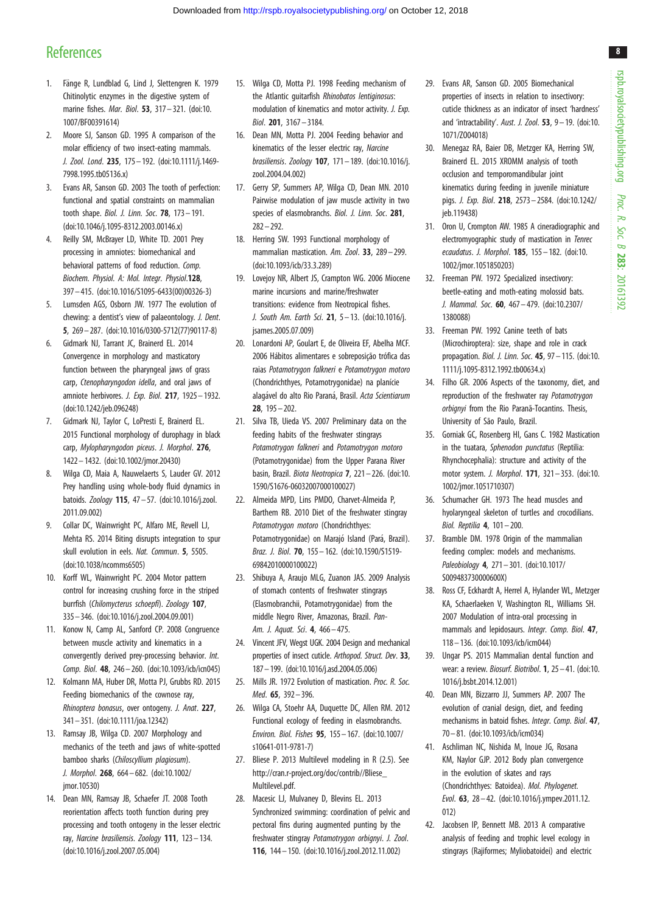## <span id="page-7-0"></span>**References**

- 1. Fänge R, Lundblad G, Lind J, Slettengren K, 1979 Chitinolytic enzymes in the digestive system of marine fishes. Mar. Biol. 53, 317 – 321. [\(doi:10.](http://dx.doi.org/10.1007/BF00391614) [1007/BF00391614\)](http://dx.doi.org/10.1007/BF00391614)
- 2. Moore SJ, Sanson GD. 1995 A comparison of the molar efficiency of two insect-eating mammals. J. Zool. Lond. 235, 175– 192. ([doi:10.1111/j.1469-](http://dx.doi.org/10.1111/j.1469-7998.1995.tb05136.x) [7998.1995.tb05136.x\)](http://dx.doi.org/10.1111/j.1469-7998.1995.tb05136.x)
- 3. Evans AR, Sanson GD. 2003 The tooth of perfection: functional and spatial constraints on mammalian tooth shape. Biol. J. Linn. Soc. 78, 173– 191. [\(doi:10.1046/j.1095-8312.2003.00146.x](http://dx.doi.org/10.1046/j.1095-8312.2003.00146.x))
- 4. Reilly SM, McBrayer LD, White TD. 2001 Prey processing in amniotes: biomechanical and behavioral patterns of food reduction. Comp. Biochem. Physiol. A: Mol. Integr. Physiol.128, 397– 415. ([doi:10.1016/S1095-6433\(00\)00326-3\)](http://dx.doi.org/10.1016/S1095-6433(00)00326-3)
- 5. Lumsden AGS, Osborn JW. 1977 The evolution of chewing: a dentist's view of palaeontology. J. Dent. 5, 269– 287. ([doi:10.1016/0300-5712\(77\)90117-8\)](http://dx.doi.org/10.1016/0300-5712(77)90117-8)
- 6. Gidmark NJ, Tarrant JC, Brainerd EL. 2014 Convergence in morphology and masticatory function between the pharyngeal jaws of grass carp, Ctenopharyngodon idella, and oral jaws of amniote herbivores. J. Exp. Biol. 217, 1925 – 1932. [\(doi:10.1242/jeb.096248](http://dx.doi.org/10.1242/jeb.096248))
- 7. Gidmark NJ, Taylor C, LoPresti E, Brainerd EL. 2015 Functional morphology of durophagy in black carp, Mylopharyngodon piceus. J. Morphol. 276, 1422 – 1432. [\(doi:10.1002/jmor.20430](http://dx.doi.org/10.1002/jmor.20430))
- 8. Wilga CD, Maia A, Nauwelaerts S, Lauder GV. 2012 Prey handling using whole-body fluid dynamics in batoids. Zoology 115, 47 – 57. [\(doi:10.1016/j.zool.](http://dx.doi.org/10.1016/j.zool.2011.09.002) [2011.09.002\)](http://dx.doi.org/10.1016/j.zool.2011.09.002)
- 9. Collar DC, Wainwright PC, Alfaro ME, Revell LJ, Mehta RS. 2014 Biting disrupts integration to spur skull evolution in eels. Nat. Commun. 5, 5505. [\(doi:10.1038/ncomms6505\)](http://dx.doi.org/10.1038/ncomms6505)
- 10. Korff WL, Wainwright PC. 2004 Motor pattern control for increasing crushing force in the striped burrfish (Chilomycterus schoepfi). Zoology 107, 335– 346. ([doi:10.1016/j.zool.2004.09.001](http://dx.doi.org/10.1016/j.zool.2004.09.001))
- 11. Konow N, Camp AL, Sanford CP. 2008 Congruence between muscle activity and kinematics in a convergently derived prey-processing behavior. Int. Comp. Biol. 48, 246 – 260. [\(doi:10.1093/icb/icn045\)](http://dx.doi.org/10.1093/icb/icn045)
- 12. Kolmann MA, Huber DR, Motta PJ, Grubbs RD. 2015 Feeding biomechanics of the cownose ray, Rhinoptera bonasus, over ontogeny. J. Anat. 227, 341– 351. ([doi:10.1111/joa.12342\)](http://dx.doi.org/10.1111/joa.12342)
- 13. Ramsay JB, Wilga CD. 2007 Morphology and mechanics of the teeth and jaws of white-spotted bamboo sharks (Chiloscyllium plagiosum). J. Morphol. 268, 664 – 682. ([doi:10.1002/](http://dx.doi.org/10.1002/jmor.10530) [jmor.10530](http://dx.doi.org/10.1002/jmor.10530))
- 14. Dean MN, Ramsay JB, Schaefer JT. 2008 Tooth reorientation affects tooth function during prey processing and tooth ontogeny in the lesser electric ray, Narcine brasiliensis. Zoology 111, 123 – 134. [\(doi:10.1016/j.zool.2007.05.004\)](http://dx.doi.org/10.1016/j.zool.2007.05.004)
- 15. Wilga CD, Motta PJ. 1998 Feeding mechanism of the Atlantic guitarfish Rhinobatos lentiginosus: modulation of kinematics and motor activity. J. Exp. Biol. 201, 3167 – 3184.
- 16. Dean MN, Motta PJ. 2004 Feeding behavior and kinematics of the lesser electric ray, Narcine brasiliensis. Zoology 107, 171– 189. [\(doi:10.1016/j.](http://dx.doi.org/10.1016/j.zool.2004.04.002) [zool.2004.04.002\)](http://dx.doi.org/10.1016/j.zool.2004.04.002)
- 17. Gerry SP, Summers AP, Wilga CD, Dean MN. 2010 Pairwise modulation of jaw muscle activity in two species of elasmobranchs. Biol. J. Linn. Soc. 281,  $282 - 292$ .
- 18. Herring SW. 1993 Functional morphology of mammalian mastication. Am. Zool. 33, 289 – 299. [\(doi:10.1093/icb/33.3.289\)](http://dx.doi.org/10.1093/icb/33.3.289)
- 19. Lovejoy NR, Albert JS, Crampton WG. 2006 Miocene marine incursions and marine/freshwater transitions: evidence from Neotropical fishes. J. South Am. Earth Sci. 21, 5– 13. ([doi:10.1016/j.](http://dx.doi.org/10.1016/j.jsames.2005.07.009) [jsames.2005.07.009\)](http://dx.doi.org/10.1016/j.jsames.2005.07.009)
- 20. Lonardoni AP, Goulart E, de Oliveira EF, Abelha MCF. 2006 Hábitos alimentares e sobreposição trófica das raias Potamotrygon falkneri e Potamotrygon motoro (Chondrichthyes, Potamotrygonidae) na planície alagável do alto Rio Paraná, Brasil. Acta Scientiarum 28, 195– 202.
- 21. Silva TB, Uieda VS. 2007 Preliminary data on the feeding habits of the freshwater stingrays Potamotrygon falkneri and Potamotrygon motoro (Potamotrygonidae) from the Upper Parana River basin, Brazil. Biota Neotropica 7, 221– 226. [\(doi:10.](http://dx.doi.org/10.1590/S1676-06032007000100027) [1590/S1676-06032007000100027](http://dx.doi.org/10.1590/S1676-06032007000100027))
- 22. Almeida MPD, Lins PMDO, Charvet-Almeida P, Barthem RB. 2010 Diet of the freshwater stingray Potamotrygon motoro (Chondrichthyes: Potamotrygonidae) on Marajó Island (Pará, Brazil). Braz. J. Biol. 70, 155– 162. ([doi:10.1590/S1519-](http://dx.doi.org/10.1590/S1519-69842010000100022) [69842010000100022](http://dx.doi.org/10.1590/S1519-69842010000100022))
- 23. Shibuya A, Araujo MLG, Zuanon JAS. 2009 Analysis of stomach contents of freshwater stingrays (Elasmobranchii, Potamotrygonidae) from the middle Negro River, Amazonas, Brazil. Pan-Am. J. Aquat. Sci. **4**, 466 - 475.
- 24. Vincent JFV, Wegst UGK. 2004 Design and mechanical properties of insect cuticle. Arthopod. Struct. Dev. 33, 187–199. ([doi:10.1016/j.asd.2004.05.006\)](http://dx.doi.org/10.1016/j.asd.2004.05.006)
- 25. Mills JR. 1972 Evolution of mastication. Proc. R. Soc. Med. 65, 392– 396.
- 26. Wilga CA, Stoehr AA, Duquette DC, Allen RM. 2012 Functional ecology of feeding in elasmobranchs. Environ. Biol. Fishes 95, 155– 167. [\(doi:10.1007/](http://dx.doi.org/10.1007/s10641-011-9781-7) [s10641-011-9781-7\)](http://dx.doi.org/10.1007/s10641-011-9781-7)
- 27. Bliese P. 2013 Multilevel modeling in R (2.5). See [http://cran.r-project.org/doc/contrib//Bliese\\_](http://cran.r-project.org/doc/contrib//Bliese_Multilevel.pdf) [Multilevel.pdf.](http://cran.r-project.org/doc/contrib//Bliese_Multilevel.pdf)
- 28. Macesic LJ, Mulvaney D, Blevins EL. 2013 Synchronized swimming: coordination of pelvic and pectoral fins during augmented punting by the freshwater stingray Potamotrygon orbignyi. J. Zool. 116, 144 – 150. [\(doi:10.1016/j.zool.2012.11.002\)](http://dx.doi.org/10.1016/j.zool.2012.11.002)
- 29. Evans AR, Sanson GD. 2005 Biomechanical properties of insects in relation to insectivory: cuticle thickness as an indicator of insect 'hardness' and 'intractability'. Aust. J. Zool. 53, 9 – 19. [\(doi:10.](http://dx.doi.org/10.1071/ZO04018) [1071/ZO04018\)](http://dx.doi.org/10.1071/ZO04018)
- 30. Menegaz RA, Baier DB, Metzger KA, Herring SW, Brainerd EL. 2015 XROMM analysis of tooth occlusion and temporomandibular joint kinematics during feeding in juvenile miniature pigs. J. Exp. Biol. 218, 2573 – 2584. [\(doi:10.1242/](http://dx.doi.org/10.1242/jeb.119438) [jeb.119438](http://dx.doi.org/10.1242/jeb.119438))
- 31. Oron U, Crompton AW. 1985 A cineradiographic and electromyographic study of mastication in Tenrec ecaudatus. J. Morphol. 185, 155 – 182. ([doi:10.](http://dx.doi.org/10.1002/jmor.1051850203) [1002/jmor.1051850203\)](http://dx.doi.org/10.1002/jmor.1051850203)
- 32. Freeman PW. 1972 Specialized insectivory: beetle-eating and moth-eating molossid bats. J. Mammal. Soc. 60, 467– 479. ([doi:10.2307/](http://dx.doi.org/10.2307/1380088) [1380088](http://dx.doi.org/10.2307/1380088))
- 33. Freeman PW. 1992 Canine teeth of bats (Microchiroptera): size, shape and role in crack propagation. Biol. J. Linn. Soc. 45, 97 – 115. [\(doi:10.](http://dx.doi.org/10.1111/j.1095-8312.1992.tb00634.x) [1111/j.1095-8312.1992.tb00634.x\)](http://dx.doi.org/10.1111/j.1095-8312.1992.tb00634.x)
- 34. Filho GR. 2006 Aspects of the taxonomy, diet, and reproduction of the freshwater ray Potamotrygon orbignyi from the Rio Paranã-Tocantins. Thesis, University of São Paulo, Brazil.
- 35. Gorniak GC, Rosenberg HI, Gans C. 1982 Mastication in the tuatara, Sphenodon punctatus (Reptilia: Rhynchocephalia): structure and activity of the motor system. J. Morphol. 171, 321– 353. [\(doi:10.](http://dx.doi.org/10.1002/jmor.1051710307) [1002/jmor.1051710307\)](http://dx.doi.org/10.1002/jmor.1051710307)
- 36. Schumacher GH. 1973 The head muscles and hyolaryngeal skeleton of turtles and crocodilians. Biol. Reptilia 4, 101– 200.
- 37. Bramble DM. 1978 Origin of the mammalian feeding complex: models and mechanisms. Paleobiology 4, 271– 301. ([doi:10.1017/](http://dx.doi.org/10.1017/S009483730000600X) [S009483730000600X](http://dx.doi.org/10.1017/S009483730000600X))
- 38. Ross CF, Eckhardt A, Herrel A, Hylander WL, Metzger KA, Schaerlaeken V, Washington RL, Williams SH. 2007 Modulation of intra-oral processing in mammals and lepidosaurs. Integr. Comp. Biol. 47, 118– 136. [\(doi:10.1093/icb/icm044\)](http://dx.doi.org/10.1093/icb/icm044)
- 39. Ungar PS. 2015 Mammalian dental function and wear: a review. Biosurf. Biotribol. 1, 25 – 41. [\(doi:10.](http://dx.doi.org/10.1016/j.bsbt.2014.12.001) [1016/j.bsbt.2014.12.001](http://dx.doi.org/10.1016/j.bsbt.2014.12.001))
- 40. Dean MN, Bizzarro JJ, Summers AP. 2007 The evolution of cranial design, diet, and feeding mechanisms in batoid fishes. Integr. Comp. Biol. 47, 70– 81. [\(doi:10.1093/icb/icm034](http://dx.doi.org/10.1093/icb/icm034))
- 41. Aschliman NC, Nishida M, Inoue JG, Rosana KM, Naylor GJP. 2012 Body plan convergence in the evolution of skates and rays (Chondrichthyes: Batoidea). Mol. Phylogenet. Evol. 63, 28 – 42. [\(doi:10.1016/j.ympev.2011.12.](http://dx.doi.org/10.1016/j.ympev.2011.12.012) [012\)](http://dx.doi.org/10.1016/j.ympev.2011.12.012)
- 42. Jacobsen IP, Bennett MB. 2013 A comparative analysis of feeding and trophic level ecology in stingrays (Rajiformes; Myliobatoidei) and electric